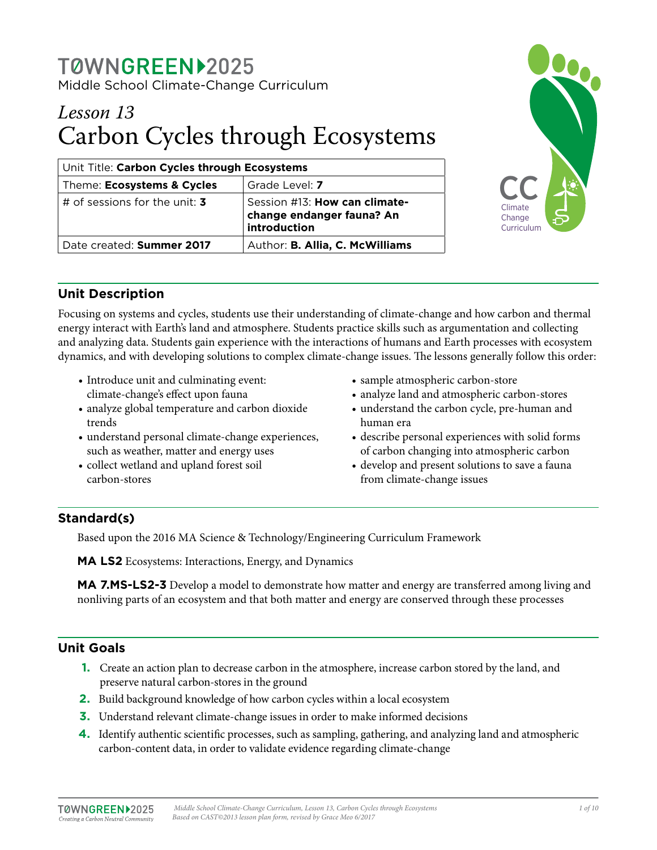## TØWNGREEN12025 Middle School Climate-Change Curriculum

# *Lesson 13* Carbon Cycles through Ecosystems

| Unit Title: Carbon Cycles through Ecosystems |                                                                                          |  |  |  |
|----------------------------------------------|------------------------------------------------------------------------------------------|--|--|--|
| Theme: Ecosystems & Cycles                   | Grade Level: 7                                                                           |  |  |  |
| # of sessions for the unit: 3                | Session #13: <b>How can climate-</b><br><b>change endanger fauna? An</b><br>introduction |  |  |  |
| Date created: Summer 2017                    | Author: B. Allia, C. McWilliams                                                          |  |  |  |



## **Unit Description**

Focusing on systems and cycles, students use their understanding of climate-change and how carbon and thermal energy interact with Earth's land and atmosphere. Students practice skills such as argumentation and collecting and analyzing data. Students gain experience with the interactions of humans and Earth processes with ecosystem dynamics, and with developing solutions to complex climate-change issues. The lessons generally follow this order:

- Introduce unit and culminating event: climate-change's effect upon fauna
- analyze global temperature and carbon dioxide trends
- understand personal climate-change experiences, such as weather, matter and energy uses
- collect wetland and upland forest soil carbon-stores
- sample atmospheric carbon-store
- analyze land and atmospheric carbon-stores
- understand the carbon cycle, pre-human and human era
- describe personal experiences with solid forms of carbon changing into atmospheric carbon
- develop and present solutions to save a fauna from climate-change issues

## **Standard(s)**

Based upon the 2016 MA Science & Technology/Engineering Curriculum Framework

**MA LS2** Ecosystems: Interactions, Energy, and Dynamics

**MA 7.MS-LS2-3** Develop a model to demonstrate how matter and energy are transferred among living and nonliving parts of an ecosystem and that both matter and energy are conserved through these processes

## **Unit Goals**

- **1.** Create an action plan to decrease carbon in the atmosphere, increase carbon stored by the land, and preserve natural carbon-stores in the ground
- **2.** Build background knowledge of how carbon cycles within a local ecosystem
- **3.** Understand relevant climate-change issues in order to make informed decisions
- **4.** Identify authentic scientific processes, such as sampling, gathering, and analyzing land and atmospheric carbon-content data, in order to validate evidence regarding climate-change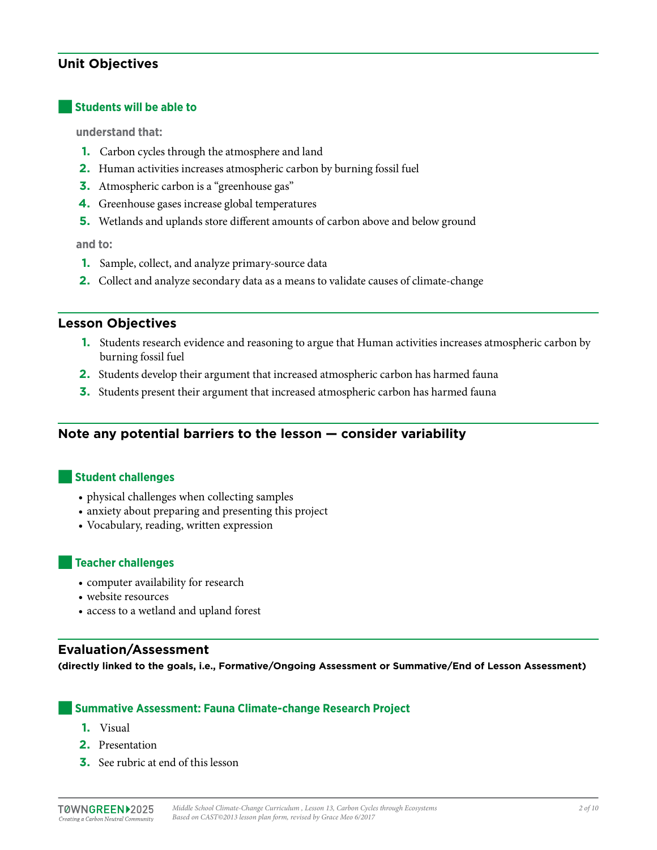## **Unit Objectives**

#### ■**Students will be able to**

**understand that:** 

- **1.** Carbon cycles through the atmosphere and land
- **2.** Human activities increases atmospheric carbon by burning fossil fuel
- **3.** Atmospheric carbon is a "greenhouse gas"
- **4.** Greenhouse gases increase global temperatures
- **5.** Wetlands and uplands store different amounts of carbon above and below ground

**and to:**

- **1.** Sample, collect, and analyze primary-source data
- **2.** Collect and analyze secondary data as a means to validate causes of climate-change

#### **Lesson Objectives**

- **1.** Students research evidence and reasoning to argue that Human activities increases atmospheric carbon by burning fossil fuel
- **2.** Students develop their argument that increased atmospheric carbon has harmed fauna
- **3.** Students present their argument that increased atmospheric carbon has harmed fauna

### **Note any potential barriers to the lesson — consider variability**

#### **Student challenges**

- physical challenges when collecting samples
- anxiety about preparing and presenting this project
- Vocabulary, reading, written expression

#### ■**Teacher challenges**

- computer availability for research
- website resources
- access to a wetland and upland forest

#### **Evaluation/Assessment**

**(directly linked to the goals, i.e., Formative/Ongoing Assessment or Summative/End of Lesson Assessment)**

#### ■**Summative Assessment: Fauna Climate-change Research Project**

- **1.** Visual
- **2.** Presentation
- **3.** See rubric at end of this lesson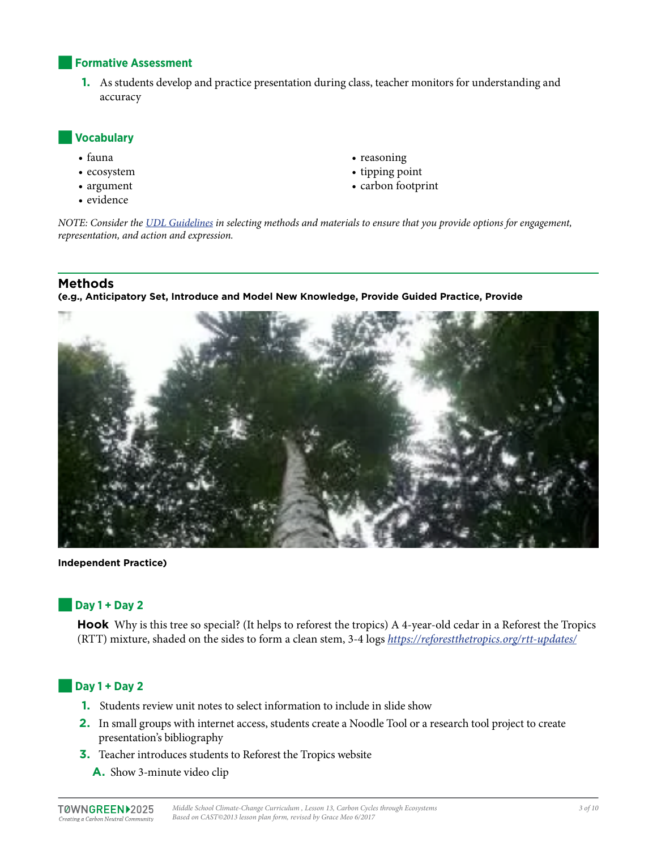#### **Formative Assessment**

**1.** As students develop and practice presentation during class, teacher monitors for understanding and accuracy

#### ■**Vocabulary**

- fauna
- ecosystem
- argument
- evidence
- reasoning
- tipping point
- carbon footprint

*NOTE: Consider the [UDL Guidelines](http://bit.ly/1d5bjtS) in selecting methods and materials to ensure that you provide options for engagement, representation, and action and expression.*

#### **Methods**

**(e.g., Anticipatory Set, Introduce and Model New Knowledge, Provide Guided Practice, Provide** 



**Independent Practice)**

### ■**Day 1 + Day 2**

**Hook** Why is this tree so special? (It helps to reforest the tropics) A 4-year-old cedar in a Reforest the Tropics (RTT) mixture, shaded on the sides to form a clean stem, 3-4 logs *<https://reforestthetropics.org/rtt-updates/>*

#### ■**Day 1 + Day 2**

- **1.** Students review unit notes to select information to include in slide show
- **2.** In small groups with internet access, students create a Noodle Tool or a research tool project to create presentation's bibliography
- **3.** Teacher introduces students to Reforest the Tropics website
	- **A.** Show 3-minute video clip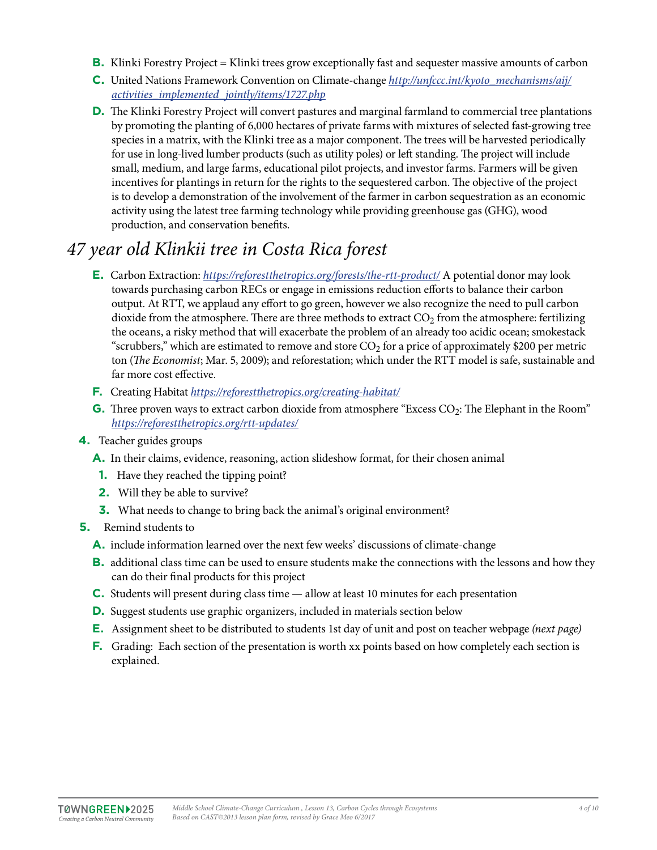- **B.** Klinki Forestry Project = Klinki trees grow exceptionally fast and sequester massive amounts of carbon
- **C.** United Nations Framework Convention on Climate-change *[http://unfccc.int/kyoto\\_mechanisms/aij/](http://unfccc.int/kyoto_mechanisms/aij/activities_implemented_jointly/items/1727.php) [activities\\_implemented\\_jointly/items/1727.php](http://unfccc.int/kyoto_mechanisms/aij/activities_implemented_jointly/items/1727.php)*
- **D.** The Klinki Forestry Project will convert pastures and marginal farmland to commercial tree plantations by promoting the planting of 6,000 hectares of private farms with mixtures of selected fast-growing tree species in a matrix, with the Klinki tree as a major component. The trees will be harvested periodically for use in long-lived lumber products (such as utility poles) or left standing. The project will include small, medium, and large farms, educational pilot projects, and investor farms. Farmers will be given incentives for plantings in return for the rights to the sequestered carbon. The objective of the project is to develop a demonstration of the involvement of the farmer in carbon sequestration as an economic activity using the latest tree farming technology while providing greenhouse gas (GHG), wood production, and conservation benefits.

## *47 year old Klinkii tree in Costa Rica forest*

- **E.** Carbon Extraction: *<https://reforestthetropics.org/forests/the-rtt-product/>* A potential donor may look towards purchasing carbon RECs or engage in emissions reduction efforts to balance their carbon output. At RTT, we applaud any effort to go green, however we also recognize the need to pull carbon dioxide from the atmosphere. There are three methods to extract  $CO<sub>2</sub>$  from the atmosphere: fertilizing the oceans, a risky method that will exacerbate the problem of an already too acidic ocean; smokestack "scrubbers," which are estimated to remove and store  $CO<sub>2</sub>$  for a price of approximately \$200 per metric ton (*The Economist*; Mar. 5, 2009); and reforestation; which under the RTT model is safe, sustainable and far more cost effective.
- **F.** Creating Habitat *<https://reforestthetropics.org/creating-habitat/>*
- **G.** Three proven ways to extract carbon dioxide from atmosphere "Excess CO<sub>2</sub>: The Elephant in the Room" *<https://reforestthetropics.org/rtt-updates/>*
- **4.** Teacher guides groups
	- **A.** In their claims, evidence, reasoning, action slideshow format, for their chosen animal
	- **1.** Have they reached the tipping point?
	- **2.** Will they be able to survive?
	- **3.** What needs to change to bring back the animal's original environment?
- **5.** Remind students to
	- **A.** include information learned over the next few weeks' discussions of climate-change
	- **B.** additional class time can be used to ensure students make the connections with the lessons and how they can do their final products for this project
	- **C.** Students will present during class time allow at least 10 minutes for each presentation
	- **D.** Suggest students use graphic organizers, included in materials section below
	- **E.** Assignment sheet to be distributed to students 1st day of unit and post on teacher webpage *(next page)*
	- **F.** Grading: Each section of the presentation is worth xx points based on how completely each section is explained.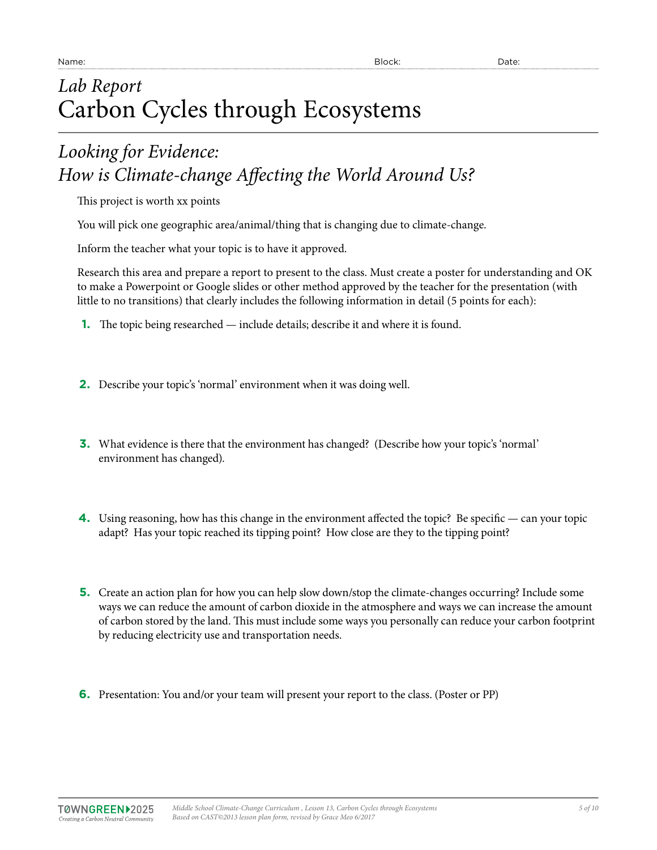# *Lab Report* Carbon Cycles through Ecosystems

## *Looking for Evidence: How is Climate-change Affecting the World Around Us?*

This project is worth xx points

You will pick one geographic area/animal/thing that is changing due to climate-change.

Inform the teacher what your topic is to have it approved.

Research this area and prepare a report to present to the class. Must create a poster for understanding and OK to make a Powerpoint or Google slides or other method approved by the teacher for the presentation (with little to no transitions) that clearly includes the following information in detail (5 points for each):

- **1.** The topic being researched include details; describe it and where it is found.
- **2.** Describe your topic's 'normal' environment when it was doing well.
- **3.** What evidence is there that the environment has changed? (Describe how your topic's 'normal' environment has changed).
- **4.** Using reasoning, how has this change in the environment affected the topic? Be specific can your topic adapt? Has your topic reached its tipping point? How close are they to the tipping point?
- **5.** Create an action plan for how you can help slow down/stop the climate-changes occurring? Include some ways we can reduce the amount of carbon dioxide in the atmosphere and ways we can increase the amount of carbon stored by the land. This must include some ways you personally can reduce your carbon footprint by reducing electricity use and transportation needs.
- **6.** Presentation: You and/or your team will present your report to the class. (Poster or PP)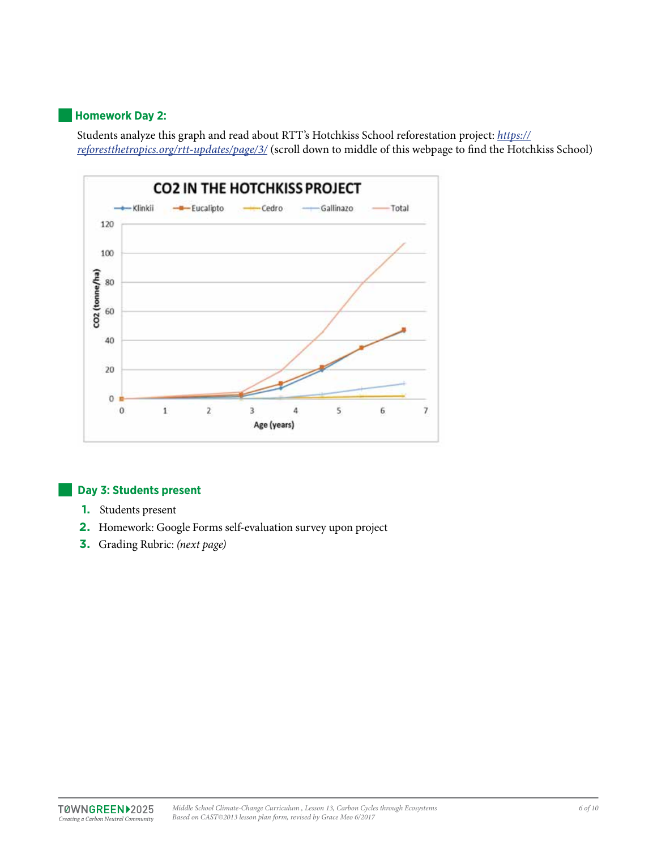#### ■**Homework Day 2:**

Students analyze this graph and read about RTT's Hotchkiss School reforestation project: *[https://](https://reforestthetropics.org/rtt-updates/page/3/) [reforestthetropics.org/rtt-updates/page/3/](https://reforestthetropics.org/rtt-updates/page/3/)* (scroll down to middle of this webpage to find the Hotchkiss School)



#### ■ **Day 3: Students present**

- **1.** Students present
- **2.** Homework: Google Forms self-evaluation survey upon project
- **3.** Grading Rubric: *(next page)*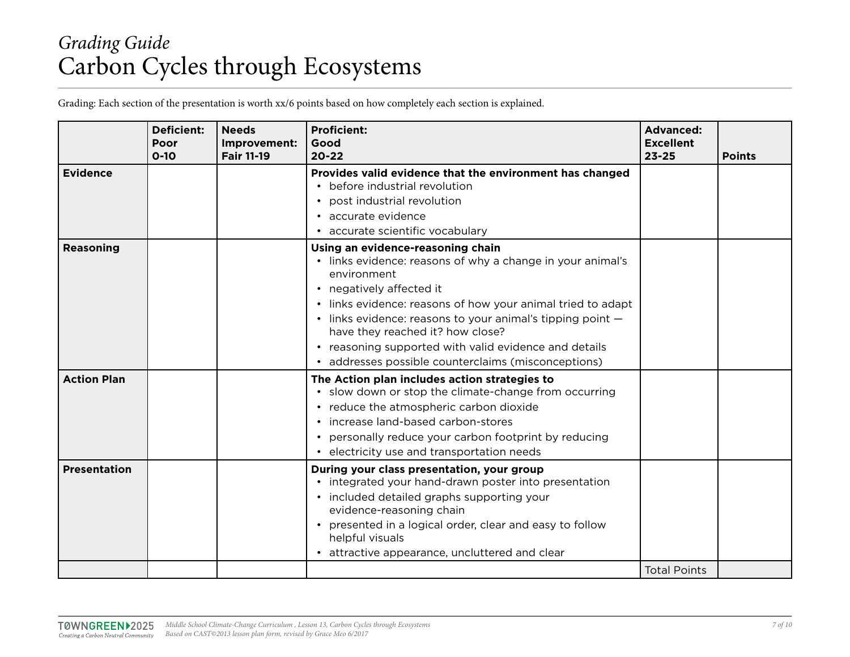# *Grading Guide* Carbon Cycles through Ecosystems

Grading: Each section of the presentation is worth xx/6 points based on how completely each section is explained.

|                     | <b>Deficient:</b><br>Poor<br>$O-10$ | <b>Needs</b><br>Improvement:<br><b>Fair 11-19</b> | <b>Proficient:</b><br>Good<br>$20 - 22$                                                                                                                                                                                                                                                                                                                                                                                     | <b>Advanced:</b><br><b>Excellent</b><br>$23 - 25$ | <b>Points</b> |
|---------------------|-------------------------------------|---------------------------------------------------|-----------------------------------------------------------------------------------------------------------------------------------------------------------------------------------------------------------------------------------------------------------------------------------------------------------------------------------------------------------------------------------------------------------------------------|---------------------------------------------------|---------------|
| <b>Evidence</b>     |                                     |                                                   | Provides valid evidence that the environment has changed<br>• before industrial revolution<br>• post industrial revolution<br>• accurate evidence<br>• accurate scientific vocabulary                                                                                                                                                                                                                                       |                                                   |               |
| <b>Reasoning</b>    |                                     |                                                   | Using an evidence-reasoning chain<br>• links evidence: reasons of why a change in your animal's<br>environment<br>• negatively affected it<br>• links evidence: reasons of how your animal tried to adapt<br>• links evidence: reasons to your animal's tipping point -<br>have they reached it? how close?<br>• reasoning supported with valid evidence and details<br>• addresses possible counterclaims (misconceptions) |                                                   |               |
| <b>Action Plan</b>  |                                     |                                                   | The Action plan includes action strategies to<br>• slow down or stop the climate-change from occurring<br>• reduce the atmospheric carbon dioxide<br>• increase land-based carbon-stores<br>• personally reduce your carbon footprint by reducing<br>• electricity use and transportation needs                                                                                                                             |                                                   |               |
| <b>Presentation</b> |                                     |                                                   | During your class presentation, your group<br>• integrated your hand-drawn poster into presentation<br>• included detailed graphs supporting your<br>evidence-reasoning chain<br>• presented in a logical order, clear and easy to follow<br>helpful visuals<br>attractive appearance, uncluttered and clear                                                                                                                | <b>Total Points</b>                               |               |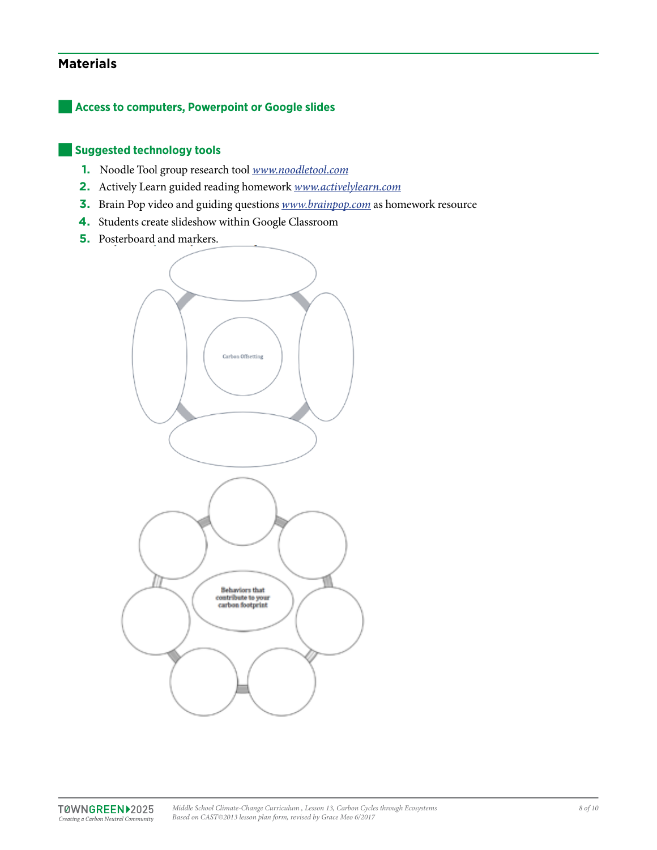#### **Materials**

#### ■**Access to computers, Powerpoint or Google slides**

### ■**Suggested technology tools**

- **1.** Noodle Tool group research tool *[www.noodletool.com](http://www.noodletool.com)*
- **2.** Actively Learn guided reading homework *[www.activelylearn.com](http://www.activelylearn.com)*
- **3.** Brain Pop video and guiding questions *[www.brainpop.com](http://www.brainpop.com)* as homework resource
- **4.** Students create slideshow within Google Classroom
- **5.** Posterboard and markers.

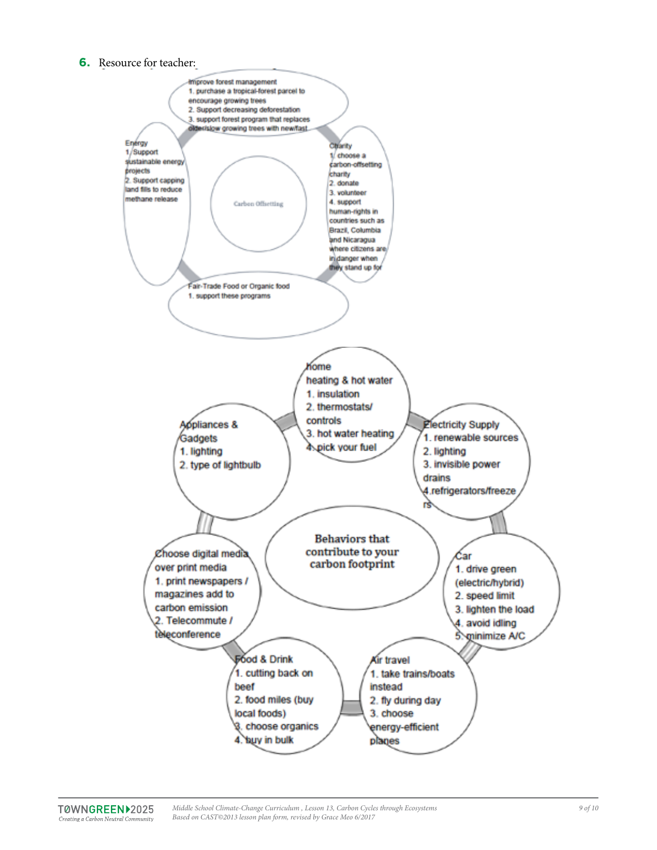**6.** Resource for teacher: